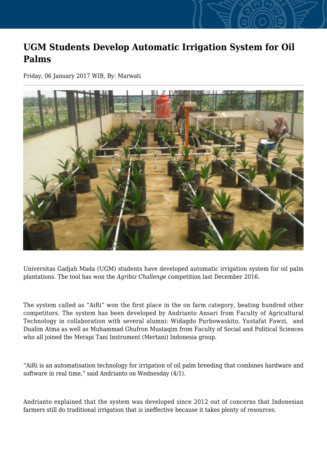## **UGM Students Develop Automatic Irrigation System for Oil Palms**

Friday, 06 January 2017 WIB, By: Marwati



Universitas Gadjah Mada (UGM) students have developed automatic irrigation system for oil palm plantations. The tool has won the *Agribiz Challenge* competition last December 2016.

The system called as "AiRi" won the first place in the on farm category, beating hundred other competitors. The system has been developed by Andrianto Ansari from Faculty of Agricultural Technology in collaboration with several alumni: Widagdo Purbowaskito, Yustafat Fawzi, and Dualim Atma as well as Muhammad Ghufron Mustaqim from Faculty of Social and Political Sciences who all joined the Merapi Tani Instrument (Mertani) Indonesia group.

"AiRi is an automatisation technology for irrigation of oil palm breeding that combines hardware and software in real time," said Andrianto on Wednesday (4/1).

Andrianto explained that the system was developed since 2012 out of concerns that Indonesian farmers still do traditional irrigation that is ineffective because it takes plenty of resources.